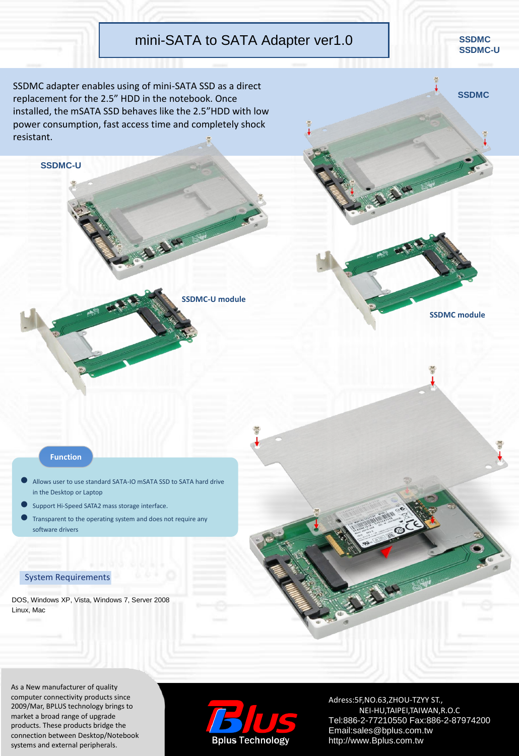## mini-SATA to SATA Adapter ver1.0

**SSDMC-U module**

SSDMC adapter enables using of mini-SATA SSD as a direct replacement for the 2.5" HDD in the notebook. Once installed, the mSATA SSD behaves like the 2.5"HDD with low power consumption, fast access time and completely shock resistant.

## **Function**

**SSDMC-U**

- Allows user to use standard SATA-IO mSATA SSD to SATA hard drive in the Desktop or Laptop
- Support Hi-Speed SATA2 mass storage interface.
- Transparent to the operating system and does not require any software drivers

## System Requirements

DOS, Windows XP, Vista, Windows 7, Server 2008 Linux, Mac

As a New manufacturer of quality computer connectivity products since 2009/Mar, BPLUS technology brings to market a broad range of upgrade products. These products bridge the connection between Desktop/Notebook systems and external peripherals.



Adress:5F,NO.63,ZHOU-TZYY ST., NEI-HU,TAIPEI,TAIWAN,R.O.C Tel:886-2-77210550 Fax:886-2-87974200 Email:sales@bplus.com.tw http://www.Bplus.com.tw



**SSDMC module**



**SSDMC**